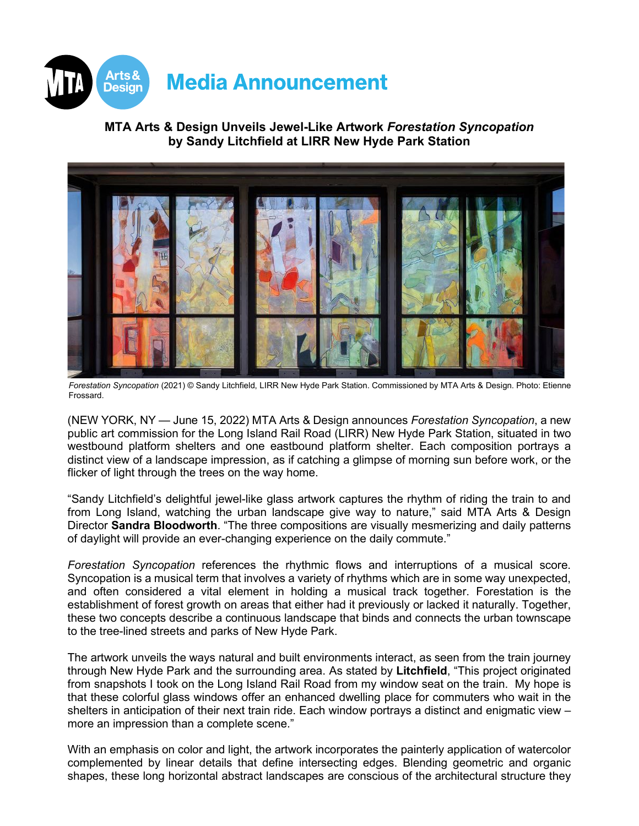

# **MTA Arts & Design Unveils Jewel-Like Artwork** *Forestation Syncopation* **by Sandy Litchfield at LIRR New Hyde Park Station**



*Forestation Syncopation* (2021) © Sandy Litchfield, LIRR New Hyde Park Station. Commissioned by MTA Arts & Design. Photo: Etienne Frossard.

(NEW YORK, NY — June 15, 2022) MTA Arts & Design announces *Forestation Syncopation*, a new public art commission for the Long Island Rail Road (LIRR) New Hyde Park Station, situated in two westbound platform shelters and one eastbound platform shelter. Each composition portrays a distinct view of a landscape impression, as if catching a glimpse of morning sun before work, or the flicker of light through the trees on the way home.

"Sandy Litchfield's delightful jewel-like glass artwork captures the rhythm of riding the train to and from Long Island, watching the urban landscape give way to nature," said MTA Arts & Design Director **Sandra Bloodworth**. "The three compositions are visually mesmerizing and daily patterns of daylight will provide an ever-changing experience on the daily commute."

*Forestation Syncopation* references the rhythmic flows and interruptions of a musical score. Syncopation is a musical term that involves a variety of rhythms which are in some way unexpected, and often considered a vital element in holding a musical track together. Forestation is the establishment of forest growth on areas that either had it previously or lacked it naturally. Together, these two concepts describe a continuous landscape that binds and connects the urban townscape to the tree-lined streets and parks of New Hyde Park.

The artwork unveils the ways natural and built environments interact, as seen from the train journey through New Hyde Park and the surrounding area. As stated by **Litchfield**, "This project originated from snapshots I took on the Long Island Rail Road from my window seat on the train. My hope is that these colorful glass windows offer an enhanced dwelling place for commuters who wait in the shelters in anticipation of their next train ride. Each window portrays a distinct and enigmatic view – more an impression than a complete scene."

With an emphasis on color and light, the artwork incorporates the painterly application of watercolor complemented by linear details that define intersecting edges. Blending geometric and organic shapes, these long horizontal abstract landscapes are conscious of the architectural structure they